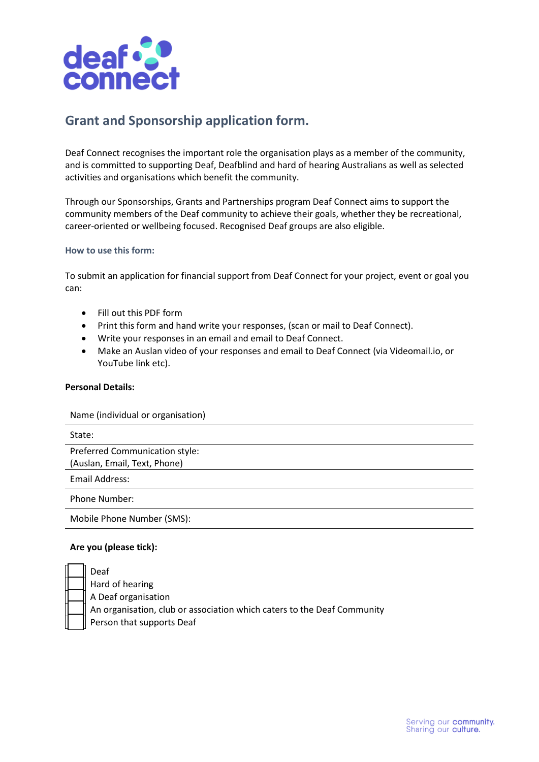

# **Grant and Sponsorship application form.**

Deaf Connect recognises the important role the organisation plays as a member of the community, and is committed to supporting Deaf, Deafblind and hard of hearing Australians as well as selected activities and organisations which benefit the community.

Through our Sponsorships, Grants and Partnerships program Deaf Connect aims to support the community members of the Deaf community to achieve their goals, whether they be recreational, career-oriented or wellbeing focused. Recognised Deaf groups are also eligible.

### **How to use this form:**

To submit an application for financial support from Deaf Connect for your project, event or goal you can:

- Fill out this PDF form
- Print this form and hand write your responses, (scan or mail to Deaf Connect).
- Write your responses in an email and email to Deaf Connect.
- Make an Auslan video of your responses and email to Deaf Connect (via Videomail.io, or YouTube link etc).

## **Personal Details:**

Name (individual or organisation)

#### State:

Preferred Communication style:

(Auslan, Email, Text, Phone)

Email Address:

Phone Number:

Mobile Phone Number (SMS):

#### **Are you (please tick):**

| Deaf                                                                    |
|-------------------------------------------------------------------------|
| Hard of hearing                                                         |
| A Deaf organisation                                                     |
| An organisation, club or association which caters to the Deaf Community |
| Person that supports Deaf                                               |
|                                                                         |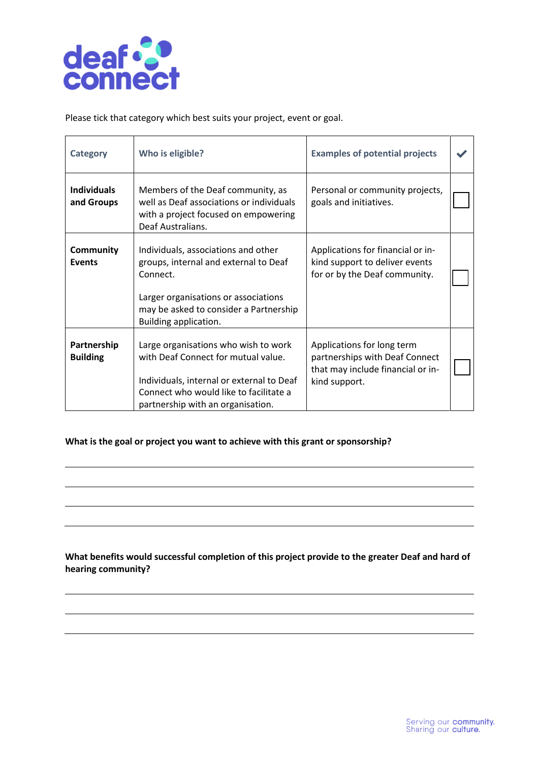

Please tick that category which best suits your project, event or goal.

| <b>Category</b>                   | Who is eligible?                                                                                                                                                                                        | <b>Examples of potential projects</b>                                                                              |  |
|-----------------------------------|---------------------------------------------------------------------------------------------------------------------------------------------------------------------------------------------------------|--------------------------------------------------------------------------------------------------------------------|--|
| <b>Individuals</b><br>and Groups  | Members of the Deaf community, as<br>well as Deaf associations or individuals<br>with a project focused on empowering<br>Deaf Australians.                                                              | Personal or community projects,<br>goals and initiatives.                                                          |  |
| <b>Community</b><br><b>Events</b> | Individuals, associations and other<br>groups, internal and external to Deaf<br>Connect.<br>Larger organisations or associations<br>may be asked to consider a Partnership<br>Building application.     | Applications for financial or in-<br>kind support to deliver events<br>for or by the Deaf community.               |  |
| Partnership<br><b>Building</b>    | Large organisations who wish to work<br>with Deaf Connect for mutual value.<br>Individuals, internal or external to Deaf<br>Connect who would like to facilitate a<br>partnership with an organisation. | Applications for long term<br>partnerships with Deaf Connect<br>that may include financial or in-<br>kind support. |  |

## **What is the goal or project you want to achieve with this grant or sponsorship?**

**What benefits would successful completion of this project provide to the greater Deaf and hard of hearing community?**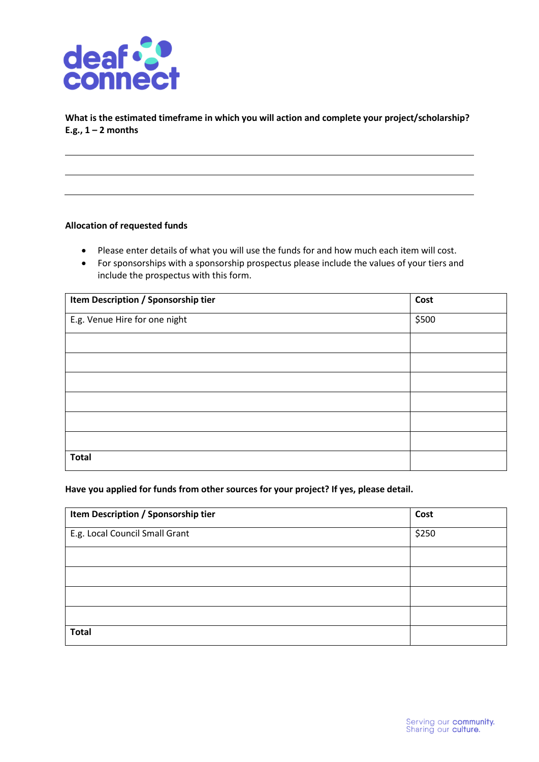

**What is the estimated timeframe in which you will action and complete your project/scholarship?**   $E.g., 1 - 2 months$ 

## **Allocation of requested funds**

- Please enter details of what you will use the funds for and how much each item will cost.
- For sponsorships with a sponsorship prospectus please include the values of your tiers and include the prospectus with this form.

| Item Description / Sponsorship tier | Cost  |
|-------------------------------------|-------|
| E.g. Venue Hire for one night       | \$500 |
|                                     |       |
|                                     |       |
|                                     |       |
|                                     |       |
|                                     |       |
|                                     |       |
| <b>Total</b>                        |       |

## **Have you applied for funds from other sources for your project? If yes, please detail.**

| Item Description / Sponsorship tier | Cost  |
|-------------------------------------|-------|
| E.g. Local Council Small Grant      | \$250 |
|                                     |       |
|                                     |       |
|                                     |       |
|                                     |       |
| <b>Total</b>                        |       |